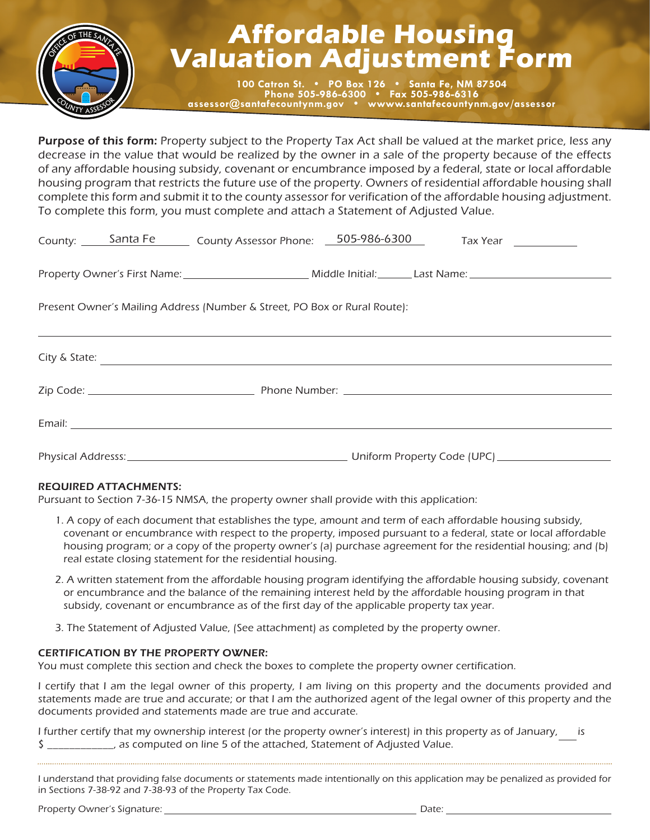

## **Affordable Housing Valuation Adjustment Form**<br>**Valuation Adjustment Form**

**100 Catron St. • PO Box 126 • Santa Fe, NM 87504 Phone 505-986-6300 • Fax 505-986-6316 assessor@santafecountynm.gov • wwww.santafecountynm.gov/assessor**

Purpose of this form: Property subject to the Property Tax Act shall be valued at the market price, less any decrease in the value that would be realized by the owner in a sale of the property because of the effects of any affordable housing subsidy, covenant or encumbrance imposed by a federal, state or local affordable housing program that restricts the future use of the property. Owners of residential affordable housing shall complete this form and submit it to the county assessor for verification of the affordable housing adjustment. To complete this form, you must complete and attach a Statement of Adjusted Value.

|                                                                           |  | County: Santa Fe County Assessor Phone: 505-986-6300 |  |  |  | Tax Year ____________ |  |  |
|---------------------------------------------------------------------------|--|------------------------------------------------------|--|--|--|-----------------------|--|--|
|                                                                           |  |                                                      |  |  |  |                       |  |  |
| Present Owner's Mailing Address (Number & Street, PO Box or Rural Route): |  |                                                      |  |  |  |                       |  |  |
|                                                                           |  | City & State:                                        |  |  |  |                       |  |  |
|                                                                           |  |                                                      |  |  |  |                       |  |  |
|                                                                           |  |                                                      |  |  |  |                       |  |  |

Physical Addresss: Uniform Property Code (UPC)

## REQUIRED ATTACHMENTS:

Pursuant to Section 7-36-15 NMSA, the property owner shall provide with this application:

- 1. A copy of each document that establishes the type, amount and term of each affordable housing subsidy, covenant or encumbrance with respect to the property, imposed pursuant to a federal, state or local affordable housing program; or a copy of the property owner's (a) purchase agreement for the residential housing; and (b) real estate closing statement for the residential housing.
- 2. A written statement from the affordable housing program identifying the affordable housing subsidy, covenant or encumbrance and the balance of the remaining interest held by the affordable housing program in that subsidy, covenant or encumbrance as of the first day of the applicable property tax year.
- 3. The Statement of Adjusted Value, (See attachment) as completed by the property owner.

## CERTIFICATION BY THE PROPERTY OWNER:

You must complete this section and check the boxes to complete the property owner certification.

I certify that I am the legal owner of this property, I am living on this property and the documents provided and statements made are true and accurate; or that I am the authorized agent of the legal owner of this property and the documents provided and statements made are true and accurate.

I further certify that my ownership interest (or the property owner's interest) in this property as of January, is \$ . as computed on line 5 of the attached, Statement of Adjusted Value.

I understand that providing false documents or statements made intentionally on this application may be penalized as provided for in Sections 7-38-92 and 7-38-93 of the Property Tax Code.

Property Owner's Signature: Date: